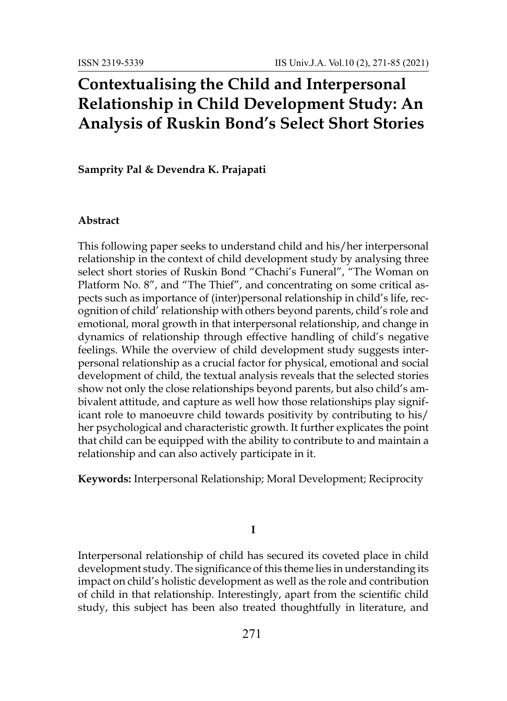# **Contextualising the Child and Interpersonal Relationship in Child Development Study: An Analysis of Ruskin Bond's Select Short Stories**

**Samprity Pal & Devendra K. Prajapati**

### **Abstract**

This following paper seeks to understand child and his/her interpersonal relationship in the context of child development study by analysing three select short stories of Ruskin Bond "Chachi's Funeral", "The Woman on Platform No. 8", and "The Thief", and concentrating on some critical aspects such as importance of (inter)personal relationship in child's life, recognition of child' relationship with others beyond parents, child's role and emotional, moral growth in that interpersonal relationship, and change in dynamics of relationship through effective handling of child's negative feelings. While the overview of child development study suggests interpersonal relationship as a crucial factor for physical, emotional and social development of child, the textual analysis reveals that the selected stories show not only the close relationships beyond parents, but also child's ambivalent attitude, and capture as well how those relationships play significant role to manoeuvre child towards positivity by contributing to his/ her psychological and characteristic growth. It further explicates the point that child can be equipped with the ability to contribute to and maintain a relationship and can also actively participate in it.

**Keywords:** Interpersonal Relationship; Moral Development; Reciprocity

**I**

Interpersonal relationship of child has secured its coveted place in child development study. The significance of this theme lies in understanding its impact on child's holistic development as well as the role and contribution of child in that relationship. Interestingly, apart from the scientific child study, this subject has been also treated thoughtfully in literature, and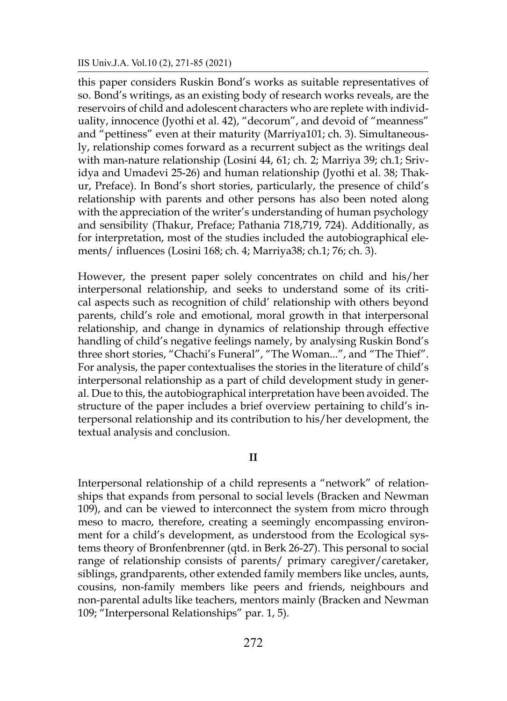this paper considers Ruskin Bond's works as suitable representatives of so. Bond's writings, as an existing body of research works reveals, are the reservoirs of child and adolescent characters who are replete with individuality, innocence (Jyothi et al. 42), "decorum", and devoid of "meanness" and "pettiness" even at their maturity (Marriya101; ch. 3). Simultaneously, relationship comes forward as a recurrent subject as the writings deal with man-nature relationship (Losini 44, 61; ch. 2; Marriya 39; ch.1; Srividya and Umadevi 25-26) and human relationship (Jyothi et al. 38; Thakur, Preface). In Bond's short stories, particularly, the presence of child's relationship with parents and other persons has also been noted along with the appreciation of the writer's understanding of human psychology and sensibility (Thakur, Preface; Pathania 718,719, 724). Additionally, as for interpretation, most of the studies included the autobiographical elements/ influences (Losini 168; ch. 4; Marriya38; ch.1; 76; ch. 3).

However, the present paper solely concentrates on child and his/her interpersonal relationship, and seeks to understand some of its critical aspects such as recognition of child' relationship with others beyond parents, child's role and emotional, moral growth in that interpersonal relationship, and change in dynamics of relationship through effective handling of child's negative feelings namely, by analysing Ruskin Bond's three short stories, "Chachi's Funeral", "The Woman...", and "The Thief". For analysis, the paper contextualises the stories in the literature of child's interpersonal relationship as a part of child development study in general. Due to this, the autobiographical interpretation have been avoided. The structure of the paper includes a brief overview pertaining to child's interpersonal relationship and its contribution to his/her development, the textual analysis and conclusion.

## **II**

Interpersonal relationship of a child represents a "network" of relationships that expands from personal to social levels (Bracken and Newman 109), and can be viewed to interconnect the system from micro through meso to macro, therefore, creating a seemingly encompassing environment for a child's development, as understood from the Ecological systems theory of Bronfenbrenner (qtd. in Berk 26-27). This personal to social range of relationship consists of parents/ primary caregiver/caretaker, siblings, grandparents, other extended family members like uncles, aunts, cousins, non-family members like peers and friends, neighbours and non-parental adults like teachers, mentors mainly (Bracken and Newman 109; "Interpersonal Relationships" par. 1, 5).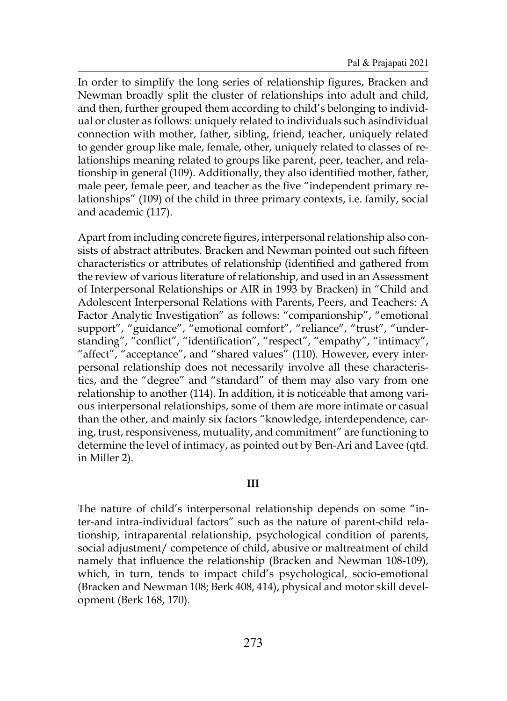In order to simplify the long series of relationship figures, Bracken and Newman broadly split the cluster of relationships into adult and child, and then, further grouped them according to child's belonging to individual or cluster as follows: uniquely related to individuals such asindividual connection with mother, father, sibling, friend, teacher, uniquely related to gender group like male, female, other, uniquely related to classes of relationships meaning related to groups like parent, peer, teacher, and relationship in general (109). Additionally, they also identified mother, father, male peer, female peer, and teacher as the five "independent primary relationships" (109) of the child in three primary contexts, i.e. family, social and academic (117).

Apart from including concrete figures, interpersonal relationship also consists of abstract attributes. Bracken and Newman pointed out such fifteen characteristics or attributes of relationship (identified and gathered from the review of various literature of relationship, and used in an Assessment of Interpersonal Relationships or AIR in 1993 by Bracken) in "Child and Adolescent Interpersonal Relations with Parents, Peers, and Teachers: A Factor Analytic Investigation" as follows: "companionship", "emotional support", "guidance", "emotional comfort", "reliance", "trust", "understanding", "conflict", "identification", "respect", "empathy", "intimacy", "affect", "acceptance", and "shared values" (110). However, every interpersonal relationship does not necessarily involve all these characteristics, and the "degree" and "standard" of them may also vary from one relationship to another (114). In addition, it is noticeable that among various interpersonal relationships, some of them are more intimate or casual than the other, and mainly six factors "knowledge, interdependence, caring, trust, responsiveness, mutuality, and commitment" are functioning to determine the level of intimacy, as pointed out by Ben-Ari and Lavee (qtd. in Miller 2).

# **III**

The nature of child's interpersonal relationship depends on some "inter-and intra-individual factors" such as the nature of parent-child relationship, intraparental relationship, psychological condition of parents, social adjustment/ competence of child, abusive or maltreatment of child namely that influence the relationship (Bracken and Newman 108-109), which, in turn, tends to impact child's psychological, socio-emotional (Bracken and Newman 108; Berk 408, 414), physical and motor skill development (Berk 168, 170).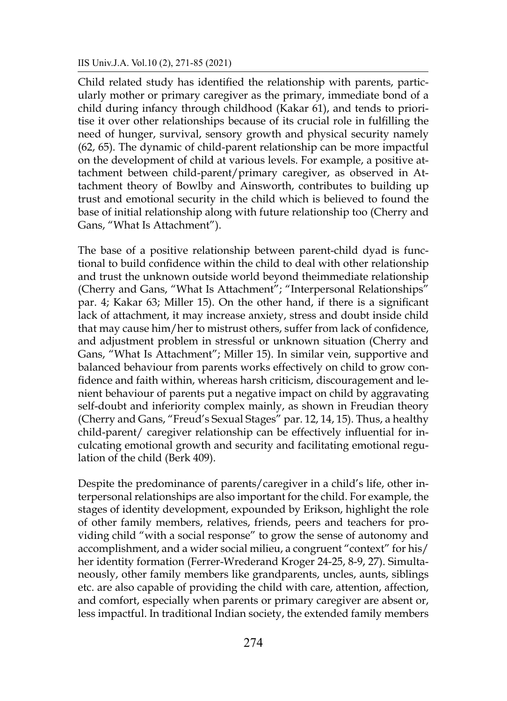Child related study has identified the relationship with parents, particularly mother or primary caregiver as the primary, immediate bond of a child during infancy through childhood (Kakar 61), and tends to prioritise it over other relationships because of its crucial role in fulfilling the need of hunger, survival, sensory growth and physical security namely (62, 65). The dynamic of child-parent relationship can be more impactful on the development of child at various levels. For example, a positive attachment between child-parent/primary caregiver, as observed in Attachment theory of Bowlby and Ainsworth, contributes to building up trust and emotional security in the child which is believed to found the base of initial relationship along with future relationship too (Cherry and Gans, "What Is Attachment").

The base of a positive relationship between parent-child dyad is functional to build confidence within the child to deal with other relationship and trust the unknown outside world beyond theimmediate relationship (Cherry and Gans, "What Is Attachment"; "Interpersonal Relationships" par. 4; Kakar 63; Miller 15). On the other hand, if there is a significant lack of attachment, it may increase anxiety, stress and doubt inside child that may cause him/her to mistrust others, suffer from lack of confidence, and adjustment problem in stressful or unknown situation (Cherry and Gans, "What Is Attachment"; Miller 15). In similar vein, supportive and balanced behaviour from parents works effectively on child to grow confidence and faith within, whereas harsh criticism, discouragement and lenient behaviour of parents put a negative impact on child by aggravating self-doubt and inferiority complex mainly, as shown in Freudian theory (Cherry and Gans, "Freud's Sexual Stages" par. 12, 14, 15). Thus, a healthy child-parent/ caregiver relationship can be effectively influential for inculcating emotional growth and security and facilitating emotional regulation of the child (Berk 409).

Despite the predominance of parents/caregiver in a child's life, other interpersonal relationships are also important for the child. For example, the stages of identity development, expounded by Erikson, highlight the role of other family members, relatives, friends, peers and teachers for providing child "with a social response" to grow the sense of autonomy and accomplishment, and a wider social milieu, a congruent "context" for his/ her identity formation (Ferrer-Wrederand Kroger 24-25, 8-9, 27). Simultaneously, other family members like grandparents, uncles, aunts, siblings etc. are also capable of providing the child with care, attention, affection, and comfort, especially when parents or primary caregiver are absent or, less impactful. In traditional Indian society, the extended family members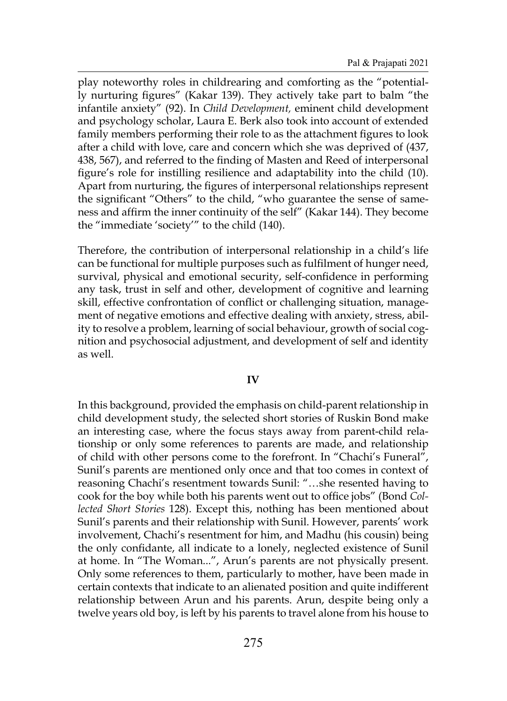play noteworthy roles in childrearing and comforting as the "potentially nurturing figures" (Kakar 139). They actively take part to balm "the infantile anxiety" (92). In *Child Development,* eminent child development and psychology scholar, Laura E. Berk also took into account of extended family members performing their role to as the attachment figures to look after a child with love, care and concern which she was deprived of (437, 438, 567), and referred to the finding of Masten and Reed of interpersonal figure's role for instilling resilience and adaptability into the child (10). Apart from nurturing, the figures of interpersonal relationships represent the significant "Others" to the child, "who guarantee the sense of sameness and affirm the inner continuity of the self" (Kakar 144). They become the "immediate 'society'" to the child (140).

Therefore, the contribution of interpersonal relationship in a child's life can be functional for multiple purposes such as fulfilment of hunger need, survival, physical and emotional security, self-confidence in performing any task, trust in self and other, development of cognitive and learning skill, effective confrontation of conflict or challenging situation, management of negative emotions and effective dealing with anxiety, stress, ability to resolve a problem, learning of social behaviour, growth of social cognition and psychosocial adjustment, and development of self and identity as well.

## **IV**

In this background, provided the emphasis on child-parent relationship in child development study, the selected short stories of Ruskin Bond make an interesting case, where the focus stays away from parent-child relationship or only some references to parents are made, and relationship of child with other persons come to the forefront. In "Chachi's Funeral", Sunil's parents are mentioned only once and that too comes in context of reasoning Chachi's resentment towards Sunil: "…she resented having to cook for the boy while both his parents went out to office jobs" (Bond *Collected Short Stories* 128). Except this, nothing has been mentioned about Sunil's parents and their relationship with Sunil. However, parents' work involvement, Chachi's resentment for him, and Madhu (his cousin) being the only confidante, all indicate to a lonely, neglected existence of Sunil at home. In "The Woman...", Arun's parents are not physically present. Only some references to them, particularly to mother, have been made in certain contexts that indicate to an alienated position and quite indifferent relationship between Arun and his parents. Arun, despite being only a twelve years old boy, is left by his parents to travel alone from his house to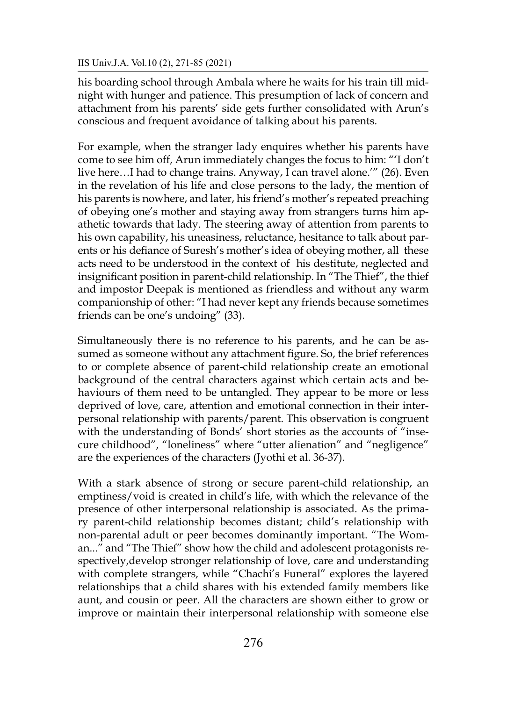his boarding school through Ambala where he waits for his train till midnight with hunger and patience. This presumption of lack of concern and attachment from his parents' side gets further consolidated with Arun's conscious and frequent avoidance of talking about his parents.

For example, when the stranger lady enquires whether his parents have come to see him off, Arun immediately changes the focus to him: "'I don't live here…I had to change trains. Anyway, I can travel alone.'" (26). Even in the revelation of his life and close persons to the lady, the mention of his parents is nowhere, and later, his friend's mother's repeated preaching of obeying one's mother and staying away from strangers turns him apathetic towards that lady. The steering away of attention from parents to his own capability, his uneasiness, reluctance, hesitance to talk about parents or his defiance of Suresh's mother's idea of obeying mother, all these acts need to be understood in the context of his destitute, neglected and insignificant position in parent-child relationship. In "The Thief", the thief and impostor Deepak is mentioned as friendless and without any warm companionship of other: "I had never kept any friends because sometimes friends can be one's undoing" (33).

Simultaneously there is no reference to his parents, and he can be assumed as someone without any attachment figure. So, the brief references to or complete absence of parent-child relationship create an emotional background of the central characters against which certain acts and behaviours of them need to be untangled. They appear to be more or less deprived of love, care, attention and emotional connection in their interpersonal relationship with parents/parent. This observation is congruent with the understanding of Bonds' short stories as the accounts of "insecure childhood", "loneliness" where "utter alienation" and "negligence" are the experiences of the characters (Jyothi et al. 36-37).

With a stark absence of strong or secure parent-child relationship, an emptiness/void is created in child's life, with which the relevance of the presence of other interpersonal relationship is associated. As the primary parent-child relationship becomes distant; child's relationship with non-parental adult or peer becomes dominantly important. "The Woman..." and "The Thief" show how the child and adolescent protagonists respectively,develop stronger relationship of love, care and understanding with complete strangers, while "Chachi's Funeral" explores the layered relationships that a child shares with his extended family members like aunt, and cousin or peer. All the characters are shown either to grow or improve or maintain their interpersonal relationship with someone else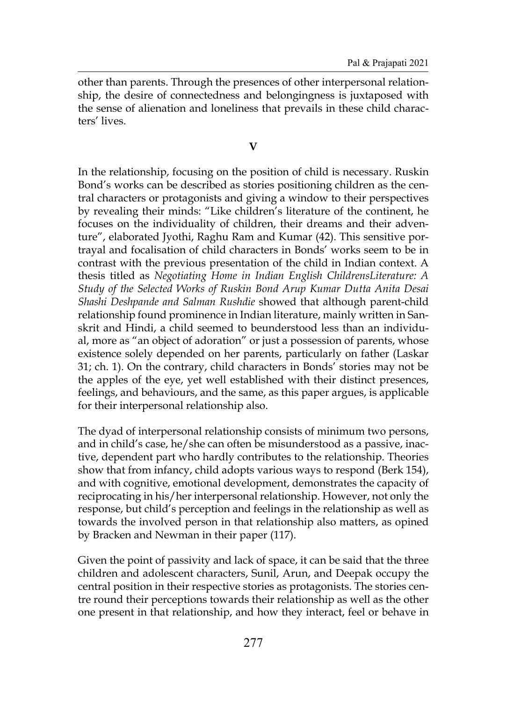other than parents. Through the presences of other interpersonal relationship, the desire of connectedness and belongingness is juxtaposed with the sense of alienation and loneliness that prevails in these child characters' lives.

# **V**

In the relationship, focusing on the position of child is necessary. Ruskin Bond's works can be described as stories positioning children as the central characters or protagonists and giving a window to their perspectives by revealing their minds: "Like children's literature of the continent, he focuses on the individuality of children, their dreams and their adventure", elaborated Jyothi, Raghu Ram and Kumar (42). This sensitive portrayal and focalisation of child characters in Bonds' works seem to be in contrast with the previous presentation of the child in Indian context. A thesis titled as *Negotiating Home in Indian English ChildrensLiterature: A Study of the Selected Works of Ruskin Bond Arup Kumar Dutta Anita Desai Shashi Deshpande and Salman Rushdie* showed that although parent-child relationship found prominence in Indian literature, mainly written in Sanskrit and Hindi, a child seemed to beunderstood less than an individual, more as "an object of adoration" or just a possession of parents, whose existence solely depended on her parents, particularly on father (Laskar 31; ch. 1). On the contrary, child characters in Bonds' stories may not be the apples of the eye, yet well established with their distinct presences, feelings, and behaviours, and the same, as this paper argues, is applicable for their interpersonal relationship also.

The dyad of interpersonal relationship consists of minimum two persons, and in child's case, he/she can often be misunderstood as a passive, inactive, dependent part who hardly contributes to the relationship. Theories show that from infancy, child adopts various ways to respond (Berk 154), and with cognitive, emotional development, demonstrates the capacity of reciprocating in his/her interpersonal relationship. However, not only the response, but child's perception and feelings in the relationship as well as towards the involved person in that relationship also matters, as opined by Bracken and Newman in their paper (117).

Given the point of passivity and lack of space, it can be said that the three children and adolescent characters, Sunil, Arun, and Deepak occupy the central position in their respective stories as protagonists. The stories centre round their perceptions towards their relationship as well as the other one present in that relationship, and how they interact, feel or behave in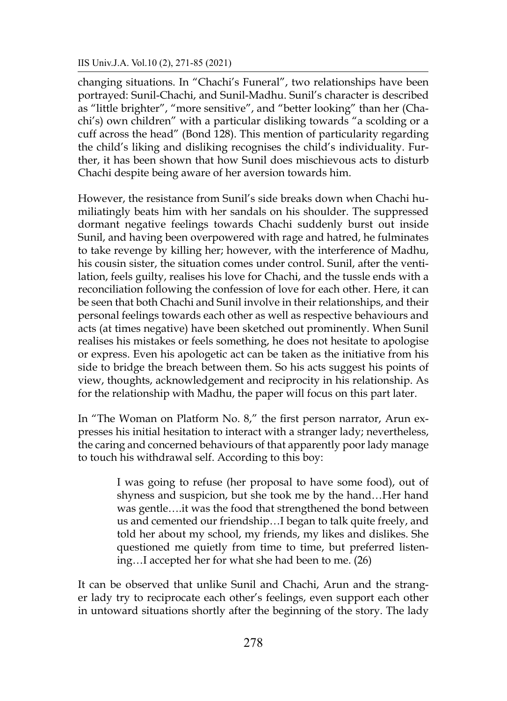changing situations. In "Chachi's Funeral", two relationships have been portrayed: Sunil-Chachi, and Sunil-Madhu. Sunil's character is described as "little brighter", "more sensitive", and "better looking" than her (Chachi's) own children" with a particular disliking towards "a scolding or a cuff across the head" (Bond 128). This mention of particularity regarding the child's liking and disliking recognises the child's individuality. Further, it has been shown that how Sunil does mischievous acts to disturb Chachi despite being aware of her aversion towards him.

However, the resistance from Sunil's side breaks down when Chachi humiliatingly beats him with her sandals on his shoulder. The suppressed dormant negative feelings towards Chachi suddenly burst out inside Sunil, and having been overpowered with rage and hatred, he fulminates to take revenge by killing her; however, with the interference of Madhu, his cousin sister, the situation comes under control. Sunil, after the ventilation, feels guilty, realises his love for Chachi, and the tussle ends with a reconciliation following the confession of love for each other. Here, it can be seen that both Chachi and Sunil involve in their relationships, and their personal feelings towards each other as well as respective behaviours and acts (at times negative) have been sketched out prominently. When Sunil realises his mistakes or feels something, he does not hesitate to apologise or express. Even his apologetic act can be taken as the initiative from his side to bridge the breach between them. So his acts suggest his points of view, thoughts, acknowledgement and reciprocity in his relationship. As for the relationship with Madhu, the paper will focus on this part later.

In "The Woman on Platform No. 8," the first person narrator, Arun expresses his initial hesitation to interact with a stranger lady; nevertheless, the caring and concerned behaviours of that apparently poor lady manage to touch his withdrawal self. According to this boy:

> I was going to refuse (her proposal to have some food), out of shyness and suspicion, but she took me by the hand…Her hand was gentle….it was the food that strengthened the bond between us and cemented our friendship…I began to talk quite freely, and told her about my school, my friends, my likes and dislikes. She questioned me quietly from time to time, but preferred listening…I accepted her for what she had been to me. (26)

It can be observed that unlike Sunil and Chachi, Arun and the stranger lady try to reciprocate each other's feelings, even support each other in untoward situations shortly after the beginning of the story. The lady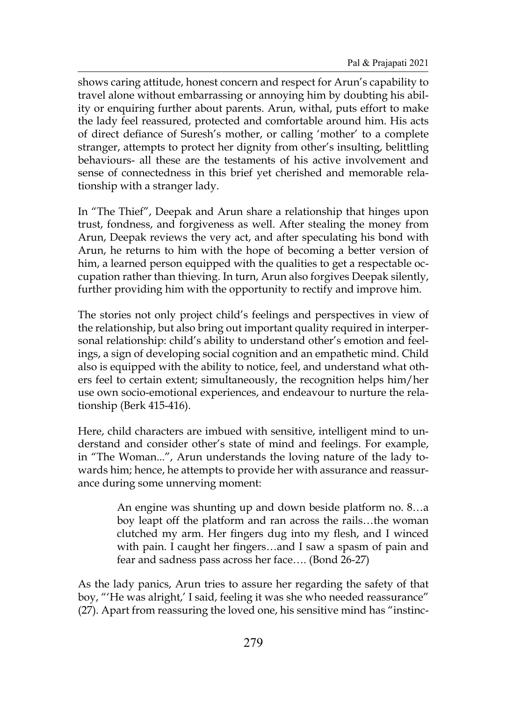shows caring attitude, honest concern and respect for Arun's capability to travel alone without embarrassing or annoying him by doubting his ability or enquiring further about parents. Arun, withal, puts effort to make the lady feel reassured, protected and comfortable around him. His acts of direct defiance of Suresh's mother, or calling 'mother' to a complete stranger, attempts to protect her dignity from other's insulting, belittling behaviours- all these are the testaments of his active involvement and sense of connectedness in this brief yet cherished and memorable relationship with a stranger lady.

In "The Thief", Deepak and Arun share a relationship that hinges upon trust, fondness, and forgiveness as well. After stealing the money from Arun, Deepak reviews the very act, and after speculating his bond with Arun, he returns to him with the hope of becoming a better version of him, a learned person equipped with the qualities to get a respectable occupation rather than thieving. In turn, Arun also forgives Deepak silently, further providing him with the opportunity to rectify and improve him.

The stories not only project child's feelings and perspectives in view of the relationship, but also bring out important quality required in interpersonal relationship: child's ability to understand other's emotion and feelings, a sign of developing social cognition and an empathetic mind. Child also is equipped with the ability to notice, feel, and understand what others feel to certain extent; simultaneously, the recognition helps him/her use own socio-emotional experiences, and endeavour to nurture the relationship (Berk 415-416).

Here, child characters are imbued with sensitive, intelligent mind to understand and consider other's state of mind and feelings. For example, in "The Woman...", Arun understands the loving nature of the lady towards him; hence, he attempts to provide her with assurance and reassurance during some unnerving moment:

> An engine was shunting up and down beside platform no. 8…a boy leapt off the platform and ran across the rails…the woman clutched my arm. Her fingers dug into my flesh, and I winced with pain. I caught her fingers…and I saw a spasm of pain and fear and sadness pass across her face…. (Bond 26-27)

As the lady panics, Arun tries to assure her regarding the safety of that boy, "'He was alright,' I said, feeling it was she who needed reassurance" (27). Apart from reassuring the loved one, his sensitive mind has "instinc-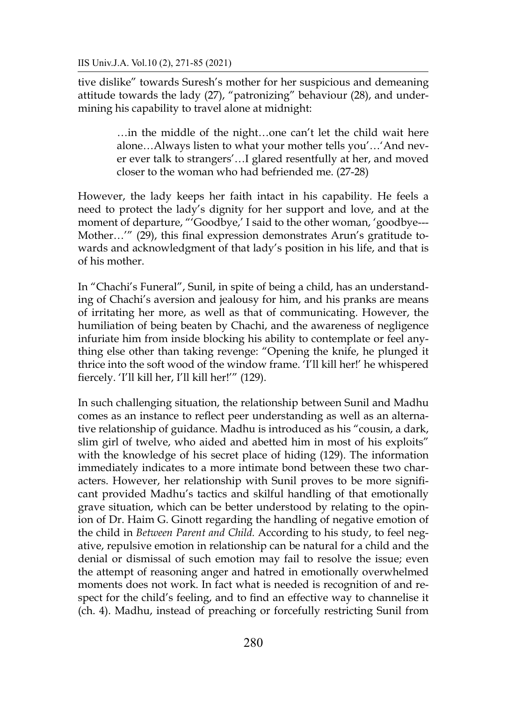tive dislike" towards Suresh's mother for her suspicious and demeaning attitude towards the lady (27), "patronizing" behaviour (28), and undermining his capability to travel alone at midnight:

> …in the middle of the night…one can't let the child wait here alone…Always listen to what your mother tells you'…'And never ever talk to strangers'…I glared resentfully at her, and moved closer to the woman who had befriended me. (27-28)

However, the lady keeps her faith intact in his capability. He feels a need to protect the lady's dignity for her support and love, and at the moment of departure, "'Goodbye,' I said to the other woman, 'goodbye---Mother…'" (29), this final expression demonstrates Arun's gratitude towards and acknowledgment of that lady's position in his life, and that is of his mother.

In "Chachi's Funeral", Sunil, in spite of being a child, has an understanding of Chachi's aversion and jealousy for him, and his pranks are means of irritating her more, as well as that of communicating. However, the humiliation of being beaten by Chachi, and the awareness of negligence infuriate him from inside blocking his ability to contemplate or feel anything else other than taking revenge: "Opening the knife, he plunged it thrice into the soft wood of the window frame. 'I'll kill her!' he whispered fiercely. 'I'll kill her, I'll kill her!'" (129).

In such challenging situation, the relationship between Sunil and Madhu comes as an instance to reflect peer understanding as well as an alternative relationship of guidance. Madhu is introduced as his "cousin, a dark, slim girl of twelve, who aided and abetted him in most of his exploits" with the knowledge of his secret place of hiding (129). The information immediately indicates to a more intimate bond between these two characters. However, her relationship with Sunil proves to be more significant provided Madhu's tactics and skilful handling of that emotionally grave situation, which can be better understood by relating to the opinion of Dr. Haim G. Ginott regarding the handling of negative emotion of the child in *Between Parent and Child.* According to his study, to feel negative, repulsive emotion in relationship can be natural for a child and the denial or dismissal of such emotion may fail to resolve the issue; even the attempt of reasoning anger and hatred in emotionally overwhelmed moments does not work. In fact what is needed is recognition of and respect for the child's feeling, and to find an effective way to channelise it (ch. 4). Madhu, instead of preaching or forcefully restricting Sunil from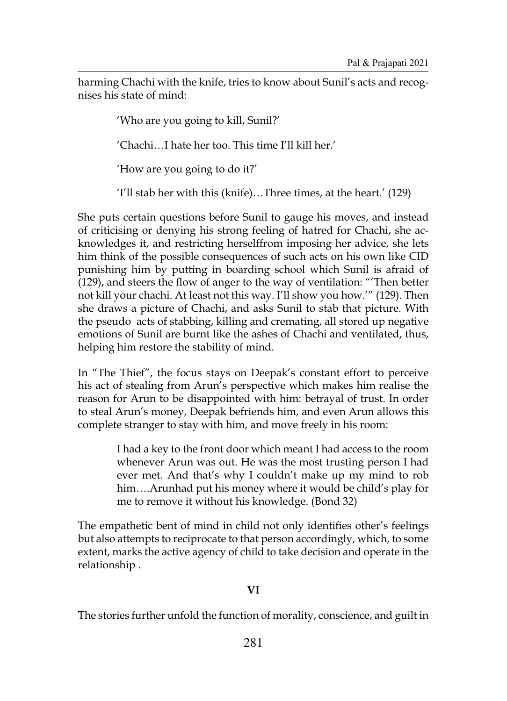harming Chachi with the knife, tries to know about Sunil's acts and recognises his state of mind:

'Who are you going to kill, Sunil?'

'Chachi…I hate her too. This time I'll kill her.'

'How are you going to do it?'

'I'll stab her with this (knife)…Three times, at the heart.' (129)

She puts certain questions before Sunil to gauge his moves, and instead of criticising or denying his strong feeling of hatred for Chachi, she acknowledges it, and restricting herselffrom imposing her advice, she lets him think of the possible consequences of such acts on his own like CID punishing him by putting in boarding school which Sunil is afraid of (129), and steers the flow of anger to the way of ventilation: "'Then better not kill your chachi. At least not this way. I'll show you how.'" (129). Then she draws a picture of Chachi, and asks Sunil to stab that picture. With the pseudo acts of stabbing, killing and cremating, all stored up negative emotions of Sunil are burnt like the ashes of Chachi and ventilated, thus, helping him restore the stability of mind.

In "The Thief", the focus stays on Deepak's constant effort to perceive his act of stealing from Arun's perspective which makes him realise the reason for Arun to be disappointed with him: betrayal of trust. In order to steal Arun's money, Deepak befriends him, and even Arun allows this complete stranger to stay with him, and move freely in his room:

> I had a key to the front door which meant I had access to the room whenever Arun was out. He was the most trusting person I had ever met. And that's why I couldn't make up my mind to rob him….Arunhad put his money where it would be child's play for me to remove it without his knowledge. (Bond 32)

The empathetic bent of mind in child not only identifies other's feelings but also attempts to reciprocate to that person accordingly, which, to some extent, marks the active agency of child to take decision and operate in the relationship .

# **VI**

The stories further unfold the function of morality, conscience, and guilt in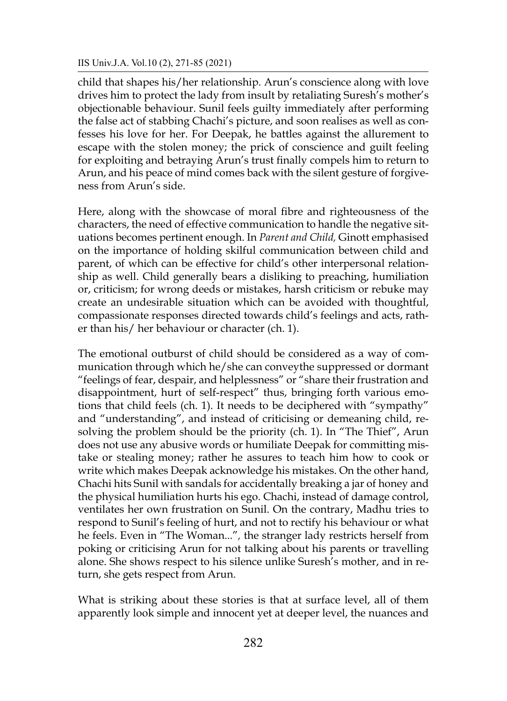child that shapes his/her relationship. Arun's conscience along with love drives him to protect the lady from insult by retaliating Suresh's mother's objectionable behaviour. Sunil feels guilty immediately after performing the false act of stabbing Chachi's picture, and soon realises as well as confesses his love for her. For Deepak, he battles against the allurement to escape with the stolen money; the prick of conscience and guilt feeling for exploiting and betraying Arun's trust finally compels him to return to Arun, and his peace of mind comes back with the silent gesture of forgiveness from Arun's side.

Here, along with the showcase of moral fibre and righteousness of the characters, the need of effective communication to handle the negative situations becomes pertinent enough. In *Parent and Child,* Ginott emphasised on the importance of holding skilful communication between child and parent, of which can be effective for child's other interpersonal relationship as well. Child generally bears a disliking to preaching, humiliation or, criticism; for wrong deeds or mistakes, harsh criticism or rebuke may create an undesirable situation which can be avoided with thoughtful, compassionate responses directed towards child's feelings and acts, rather than his/ her behaviour or character (ch. 1).

The emotional outburst of child should be considered as a way of communication through which he/she can conveythe suppressed or dormant "feelings of fear, despair, and helplessness" or "share their frustration and disappointment, hurt of self-respect" thus, bringing forth various emotions that child feels (ch. 1). It needs to be deciphered with "sympathy" and "understanding", and instead of criticising or demeaning child, resolving the problem should be the priority (ch. 1). In "The Thief", Arun does not use any abusive words or humiliate Deepak for committing mistake or stealing money; rather he assures to teach him how to cook or write which makes Deepak acknowledge his mistakes. On the other hand, Chachi hits Sunil with sandals for accidentally breaking a jar of honey and the physical humiliation hurts his ego. Chachi, instead of damage control, ventilates her own frustration on Sunil. On the contrary, Madhu tries to respond to Sunil's feeling of hurt, and not to rectify his behaviour or what he feels. Even in "The Woman..."*,* the stranger lady restricts herself from poking or criticising Arun for not talking about his parents or travelling alone. She shows respect to his silence unlike Suresh's mother, and in return, she gets respect from Arun.

What is striking about these stories is that at surface level, all of them apparently look simple and innocent yet at deeper level, the nuances and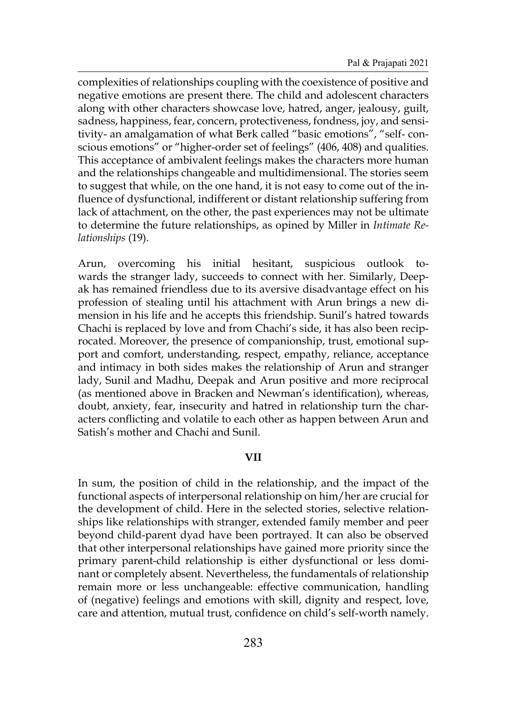complexities of relationships coupling with the coexistence of positive and negative emotions are present there. The child and adolescent characters along with other characters showcase love, hatred, anger, jealousy, guilt, sadness, happiness, fear, concern, protectiveness, fondness, joy, and sensitivity- an amalgamation of what Berk called "basic emotions", "self- conscious emotions" or "higher-order set of feelings" (406, 408) and qualities. This acceptance of ambivalent feelings makes the characters more human and the relationships changeable and multidimensional. The stories seem to suggest that while, on the one hand, it is not easy to come out of the influence of dysfunctional, indifferent or distant relationship suffering from lack of attachment, on the other, the past experiences may not be ultimate to determine the future relationships, as opined by Miller in *Intimate Relationships* (19).

Arun, overcoming his initial hesitant, suspicious outlook towards the stranger lady, succeeds to connect with her. Similarly, Deepak has remained friendless due to its aversive disadvantage effect on his profession of stealing until his attachment with Arun brings a new dimension in his life and he accepts this friendship. Sunil's hatred towards Chachi is replaced by love and from Chachi's side, it has also been reciprocated. Moreover, the presence of companionship, trust, emotional support and comfort, understanding, respect, empathy, reliance, acceptance and intimacy in both sides makes the relationship of Arun and stranger lady, Sunil and Madhu, Deepak and Arun positive and more reciprocal (as mentioned above in Bracken and Newman's identification), whereas, doubt, anxiety, fear, insecurity and hatred in relationship turn the characters conflicting and volatile to each other as happen between Arun and Satish's mother and Chachi and Sunil.

## **VII**

In sum, the position of child in the relationship, and the impact of the functional aspects of interpersonal relationship on him/her are crucial for the development of child. Here in the selected stories, selective relationships like relationships with stranger, extended family member and peer beyond child-parent dyad have been portrayed. It can also be observed that other interpersonal relationships have gained more priority since the primary parent-child relationship is either dysfunctional or less dominant or completely absent. Nevertheless, the fundamentals of relationship remain more or less unchangeable: effective communication, handling of (negative) feelings and emotions with skill, dignity and respect, love, care and attention, mutual trust, confidence on child's self-worth namely.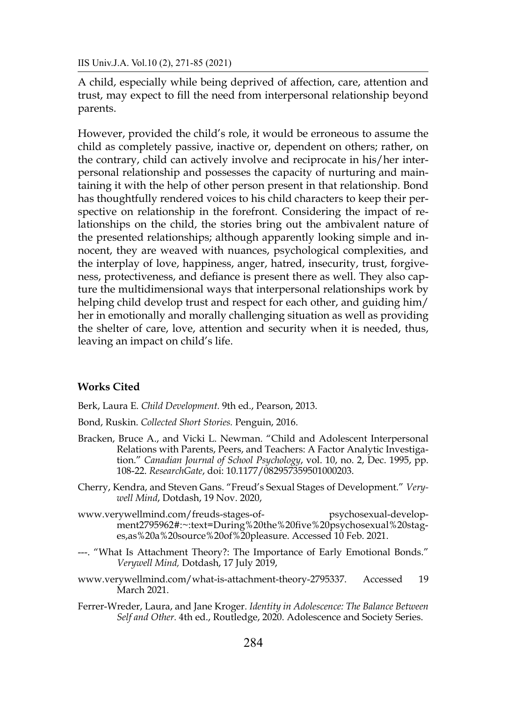A child, especially while being deprived of affection, care, attention and trust, may expect to fill the need from interpersonal relationship beyond parents.

However, provided the child's role, it would be erroneous to assume the child as completely passive, inactive or, dependent on others; rather, on the contrary, child can actively involve and reciprocate in his/her interpersonal relationship and possesses the capacity of nurturing and maintaining it with the help of other person present in that relationship. Bond has thoughtfully rendered voices to his child characters to keep their perspective on relationship in the forefront. Considering the impact of relationships on the child, the stories bring out the ambivalent nature of the presented relationships; although apparently looking simple and innocent, they are weaved with nuances, psychological complexities, and the interplay of love, happiness, anger, hatred, insecurity, trust, forgiveness, protectiveness, and defiance is present there as well. They also capture the multidimensional ways that interpersonal relationships work by helping child develop trust and respect for each other, and guiding him/ her in emotionally and morally challenging situation as well as providing the shelter of care, love, attention and security when it is needed, thus, leaving an impact on child's life.

## **Works Cited**

Berk, Laura E. *Child Development.* 9th ed., Pearson, 2013.

- Bond, Ruskin. *Collected Short Stories.* Penguin, 2016.
- Bracken, Bruce A., and Vicki L. Newman. "Child and Adolescent Interpersonal Relations with Parents, Peers, and Teachers: A Factor Analytic Investigation." *Canadian Journal of School Psychology*, vol. 10, no. 2, Dec. 1995, pp. 108-22. *ResearchGate*, doi: 10.1177/082957359501000203.
- Cherry, Kendra, and Steven Gans. "Freud's Sexual Stages of Development." *Verywell Mind*, Dotdash, 19 Nov. 2020,
- www.verywellmind.com/freuds-stages-of- psychosexual-development2795962#:~:text=During%20the%20five%20psychosexual%20stages,as%20a%20source%20of%20pleasure. Accessed 10 Feb. 2021.
- ---. "What Is Attachment Theory?: The Importance of Early Emotional Bonds." *Verywell Mind,* Dotdash, 17 July 2019,
- www.verywellmind.com/what-is-attachment-theory-2795337. Accessed 19 March 2021.
- Ferrer-Wreder, Laura, and Jane Kroger. *Identity in Adolescence: The Balance Between Self and Other.* 4th ed., Routledge, 2020. Adolescence and Society Series.